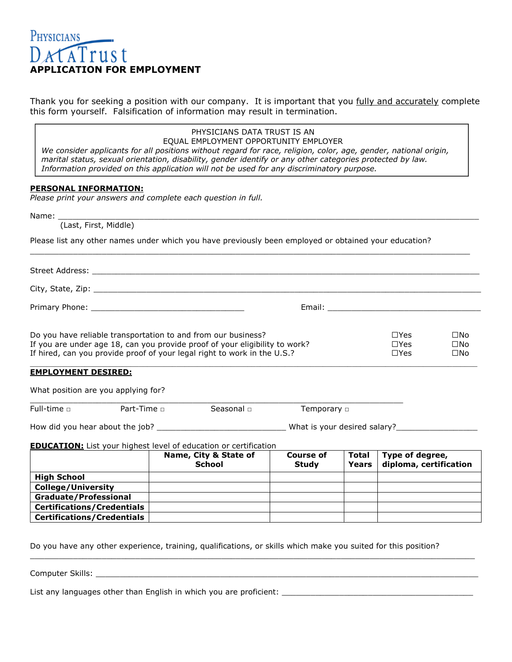# PHYSICIANS DATATrust **APPLICATION FOR EMPLOYMENT**

Thank you for seeking a position with our company. It is important that you fully and accurately complete this form yourself. Falsification of information may result in termination.

|                                                                                                                                                                                                                                                                                                                            | PHYSICIANS DATA TRUST IS AN<br>EQUAL EMPLOYMENT OPPORTUNITY EMPLOYER                                                                                                                                                     |                                  |                              |                                           |                                              |
|----------------------------------------------------------------------------------------------------------------------------------------------------------------------------------------------------------------------------------------------------------------------------------------------------------------------------|--------------------------------------------------------------------------------------------------------------------------------------------------------------------------------------------------------------------------|----------------------------------|------------------------------|-------------------------------------------|----------------------------------------------|
| We consider applicants for all positions without regard for race, religion, color, age, gender, national origin,<br>marital status, sexual orientation, disability, gender identify or any other categories protected by law.<br>Information provided on this application will not be used for any discriminatory purpose. |                                                                                                                                                                                                                          |                                  |                              |                                           |                                              |
| PERSONAL INFORMATION:                                                                                                                                                                                                                                                                                                      |                                                                                                                                                                                                                          |                                  |                              |                                           |                                              |
| Please print your answers and complete each question in full.                                                                                                                                                                                                                                                              |                                                                                                                                                                                                                          |                                  |                              |                                           |                                              |
|                                                                                                                                                                                                                                                                                                                            |                                                                                                                                                                                                                          |                                  |                              |                                           |                                              |
|                                                                                                                                                                                                                                                                                                                            | Name: (Last, First, Middle)                                                                                                                                                                                              |                                  |                              |                                           |                                              |
|                                                                                                                                                                                                                                                                                                                            | Please list any other names under which you have previously been employed or obtained your education?                                                                                                                    |                                  |                              |                                           |                                              |
|                                                                                                                                                                                                                                                                                                                            |                                                                                                                                                                                                                          |                                  |                              |                                           |                                              |
|                                                                                                                                                                                                                                                                                                                            |                                                                                                                                                                                                                          |                                  |                              |                                           |                                              |
|                                                                                                                                                                                                                                                                                                                            |                                                                                                                                                                                                                          |                                  |                              |                                           |                                              |
|                                                                                                                                                                                                                                                                                                                            | Do you have reliable transportation to and from our business?<br>If you are under age 18, can you provide proof of your eligibility to work?<br>If hired, can you provide proof of your legal right to work in the U.S.? |                                  |                              | $\Box Y$ es<br>$\Box$ Yes<br>$\Box$ Yes   | $\square$ No<br>$\square$ No<br>$\square$ No |
| <b>EMPLOYMENT DESIRED:</b>                                                                                                                                                                                                                                                                                                 |                                                                                                                                                                                                                          |                                  |                              |                                           |                                              |
| What position are you applying for?                                                                                                                                                                                                                                                                                        |                                                                                                                                                                                                                          |                                  |                              |                                           |                                              |
| Full-time $\Box$<br>Part-Time $\Box$                                                                                                                                                                                                                                                                                       | Seasonal o                                                                                                                                                                                                               | Temporary <b>D</b>               |                              |                                           |                                              |
|                                                                                                                                                                                                                                                                                                                            |                                                                                                                                                                                                                          |                                  |                              |                                           |                                              |
|                                                                                                                                                                                                                                                                                                                            | <b>EDUCATION:</b> List your highest level of education or certification                                                                                                                                                  |                                  |                              |                                           |                                              |
|                                                                                                                                                                                                                                                                                                                            | Name, City & State of<br><b>School</b>                                                                                                                                                                                   | <b>Course of</b><br><b>Study</b> | <b>Total</b><br><b>Years</b> | Type of degree,<br>diploma, certification |                                              |
| <b>High School</b>                                                                                                                                                                                                                                                                                                         |                                                                                                                                                                                                                          |                                  |                              |                                           |                                              |
| <b>College/University</b>                                                                                                                                                                                                                                                                                                  |                                                                                                                                                                                                                          |                                  |                              |                                           |                                              |
| <b>Graduate/Professional</b><br><b>Certifications/Credentials</b>                                                                                                                                                                                                                                                          |                                                                                                                                                                                                                          |                                  |                              |                                           |                                              |
| <b>Certifications/Credentials</b>                                                                                                                                                                                                                                                                                          |                                                                                                                                                                                                                          |                                  |                              |                                           |                                              |
|                                                                                                                                                                                                                                                                                                                            |                                                                                                                                                                                                                          |                                  |                              |                                           |                                              |
|                                                                                                                                                                                                                                                                                                                            | Do you have any other experience, training, qualifications, or skills which make you suited for this position?                                                                                                           |                                  |                              |                                           |                                              |
| Computer Skills:                                                                                                                                                                                                                                                                                                           |                                                                                                                                                                                                                          |                                  |                              |                                           |                                              |

List any languages other than English in which you are proficient: \_\_\_\_\_\_\_\_\_\_\_\_\_\_\_\_\_\_\_\_\_\_\_\_\_\_\_\_\_\_\_\_\_\_\_\_\_\_\_\_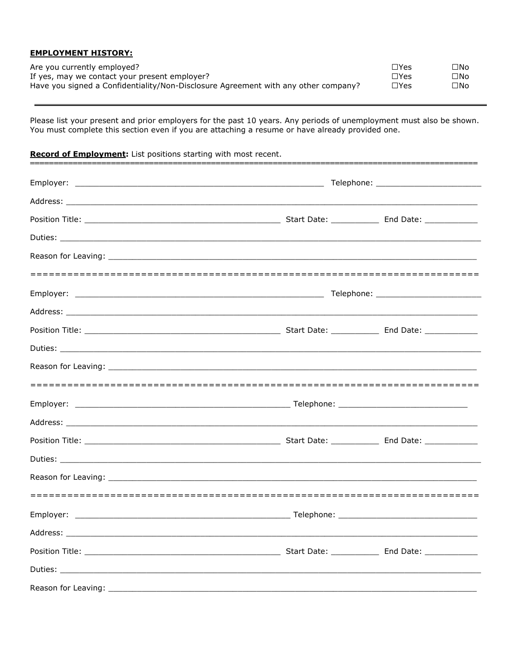### **EMPLOYMENT HISTORY:**

| Are you currently employed?                                                        | $\Box$ Yes  | $\square$ No |
|------------------------------------------------------------------------------------|-------------|--------------|
| If yes, may we contact your present employer?                                      | $\Box Y$ es | $\square$ No |
| Have you signed a Confidentiality/Non-Disclosure Agreement with any other company? | $\Box Y$ es | $\square$ No |

Please list your present and prior employers for the past 10 years. Any periods of unemployment must also be shown. You must complete this section even if you are attaching a resume or have already provided one.

# Record of Employment: List positions starting with most recent.

|  | Telephone: ______________________________ |
|--|-------------------------------------------|
|  |                                           |
|  |                                           |
|  |                                           |
|  |                                           |
|  |                                           |
|  |                                           |
|  |                                           |
|  |                                           |
|  |                                           |
|  |                                           |
|  |                                           |
|  |                                           |
|  |                                           |
|  |                                           |
|  |                                           |
|  |                                           |
|  |                                           |
|  |                                           |
|  |                                           |
|  |                                           |
|  |                                           |
|  |                                           |